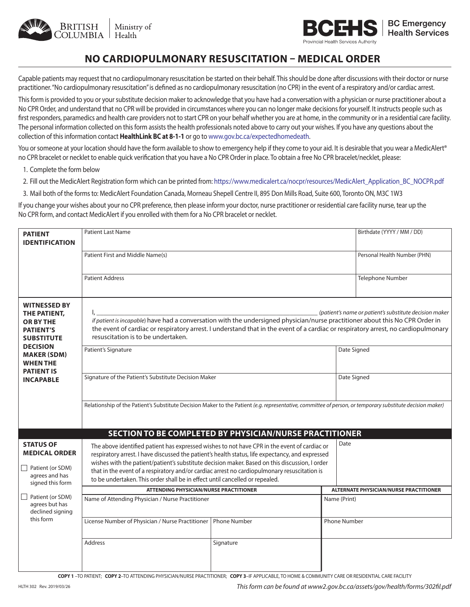



## **NO CARDIOPULMONARY RESUSCITATION – MEDICAL ORDER**

Capable patients may request that no cardiopulmonary resuscitation be started on their behalf. This should be done after discussions with their doctor or nurse practitioner. "No cardiopulmonary resuscitation" is defined as no cardiopulmonary resuscitation (no CPR) in the event of a respiratory and/or cardiac arrest.

This form is provided to you or your substitute decision maker to acknowledge that you have had a conversation with a physician or nurse practitioner about a No CPR Order, and understand that no CPR will be provided in circumstances where you can no longer make decisions for yourself. It instructs people such as first responders, paramedics and health care providers not to start CPR on your behalf whether you are at home, in the community or in a residential care facility. The personal information collected on this form assists the health professionals noted above to carry out your wishes. If you have any questions about the collection of this information contact **HealthLink BC at 8-1-1** or go to www.gov.bc.ca/expectedhomedeath.

You or someone at your location should have the form available to show to emergency help if they come to your aid. It is desirable that you wear a MedicAlert® no CPR bracelet or necklet to enable quick verification that you have a No CPR Order in place. To obtain a free No CPR bracelet/necklet, please:

- 1. Complete the form below
- 2. Fill out the MedicAlert Registration form which can be printed from: https://www.medicalert.ca/nocpr/resources/MedicAlert\_Application\_BC\_NOCPR.pdf
- 3. Mail both of the forms to: MedicAlert Foundation Canada, Morneau Shepell Centre II, 895 Don Mills Road, Suite 600, Toronto ON, M3C 1W3

If you change your wishes about your no CPR preference, then please inform your doctor, nurse practitioner or residential care facility nurse, tear up the No CPR form, and contact MedicAlert if you enrolled with them for a No CPR bracelet or necklet.

| <b>PATIENT</b><br><b>IDENTIFICATION</b>                                                            | <b>Patient Last Name</b>                                                                                                                                                                                                                                                                                                                                                                                                                                                                   |                     | Birthdate (YYYY / MM / DD)                    |                              |  |
|----------------------------------------------------------------------------------------------------|--------------------------------------------------------------------------------------------------------------------------------------------------------------------------------------------------------------------------------------------------------------------------------------------------------------------------------------------------------------------------------------------------------------------------------------------------------------------------------------------|---------------------|-----------------------------------------------|------------------------------|--|
|                                                                                                    | Patient First and Middle Name(s)                                                                                                                                                                                                                                                                                                                                                                                                                                                           |                     |                                               | Personal Health Number (PHN) |  |
|                                                                                                    | <b>Patient Address</b>                                                                                                                                                                                                                                                                                                                                                                                                                                                                     |                     |                                               | Telephone Number             |  |
| <b>WITNESSED BY</b><br>THE PATIENT,<br><b>OR BY THE</b><br><b>PATIENT'S</b><br><b>SUBSTITUTE</b>   | (patient's name or patient's substitute decision maker<br>if patient is incapable) have had a conversation with the undersigned physician/nurse practitioner about this No CPR Order in<br>the event of cardiac or respiratory arrest. I understand that in the event of a cardiac or respiratory arrest, no cardiopulmonary<br>resuscitation is to be undertaken.                                                                                                                         |                     |                                               |                              |  |
| <b>DECISION</b><br><b>MAKER (SDM)</b><br><b>WHEN THE</b><br><b>PATIENT IS</b><br><b>INCAPABLE</b>  | Patient's Signature                                                                                                                                                                                                                                                                                                                                                                                                                                                                        |                     | Date Signed                                   |                              |  |
|                                                                                                    | Signature of the Patient's Substitute Decision Maker<br>Date Signed                                                                                                                                                                                                                                                                                                                                                                                                                        |                     |                                               |                              |  |
|                                                                                                    | Relationship of the Patient's Substitute Decision Maker to the Patient (e.g. representative, committee of person, or temporary substitute decision maker)                                                                                                                                                                                                                                                                                                                                  |                     |                                               |                              |  |
|                                                                                                    | SECTION TO BE COMPLETED BY PHYSICIAN/NURSE PRACTITIONER                                                                                                                                                                                                                                                                                                                                                                                                                                    |                     |                                               |                              |  |
| <b>STATUS OF</b><br><b>MEDICAL ORDER</b><br>Patient (or SDM)<br>agrees and has<br>signed this form | Date<br>The above identified patient has expressed wishes to not have CPR in the event of cardiac or<br>respiratory arrest. I have discussed the patient's health status, life expectancy, and expressed<br>wishes with the patient/patient's substitute decision maker. Based on this discussion, I order<br>that in the event of a respiratory and/or cardiac arrest no cardiopulmonary resuscitation is<br>to be undertaken. This order shall be in effect until cancelled or repealed. |                     |                                               |                              |  |
|                                                                                                    | <b>ATTENDING PHYSICIAN/NURSE PRACTITIONER</b>                                                                                                                                                                                                                                                                                                                                                                                                                                              |                     | <b>ALTERNATE PHYSICIAN/NURSE PRACTITIONER</b> |                              |  |
| Patient (or SDM)<br>agrees but has<br>declined signing<br>this form                                | Name of Attending Physician / Nurse Practitioner                                                                                                                                                                                                                                                                                                                                                                                                                                           |                     | Name (Print)                                  |                              |  |
|                                                                                                    | License Number of Physician / Nurse Practitioner                                                                                                                                                                                                                                                                                                                                                                                                                                           | <b>Phone Number</b> | <b>Phone Number</b>                           |                              |  |
|                                                                                                    | <b>Address</b>                                                                                                                                                                                                                                                                                                                                                                                                                                                                             | Signature           |                                               |                              |  |

**COPY 1** –TO PATIENT; **COPY 2**–TO ATTENDING PHYSICIAN/NURSE PRACTITIONER; **COPY 3**–IF APPLICABLE, TO HOME & COMMUNITY CARE OR RESIDENTIAL CARE FACILITY

*This form can be found at www2.gov.bc.ca/assets/gov/health/forms/302fil.pdf*